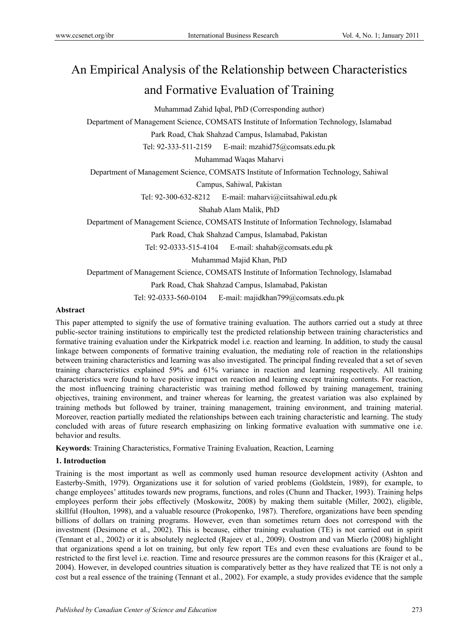# An Empirical Analysis of the Relationship between Characteristics and Formative Evaluation of Training

Muhammad Zahid Iqbal, PhD (Corresponding author)

Department of Management Science, COMSATS Institute of Information Technology, Islamabad

Park Road, Chak Shahzad Campus, Islamabad, Pakistan

Tel: 92-333-511-2159 E-mail: mzahid75@comsats.edu.pk

Muhammad Waqas Maharvi

Department of Management Science, COMSATS Institute of Information Technology, Sahiwal

Campus, Sahiwal, Pakistan

Tel: 92-300-632-8212 E-mail: maharvi@ciitsahiwal.edu.pk

Shahab Alam Malik, PhD

Department of Management Science, COMSATS Institute of Information Technology, Islamabad

Park Road, Chak Shahzad Campus, Islamabad, Pakistan

Tel: 92-0333-515-4104 E-mail: shahab@comsats.edu.pk

Muhammad Majid Khan, PhD

Department of Management Science, COMSATS Institute of Information Technology, Islamabad

Park Road, Chak Shahzad Campus, Islamabad, Pakistan

Tel: 92-0333-560-0104 E-mail: majidkhan799@comsats.edu.pk

### **Abstract**

This paper attempted to signify the use of formative training evaluation. The authors carried out a study at three public-sector training institutions to empirically test the predicted relationship between training characteristics and formative training evaluation under the Kirkpatrick model i.e. reaction and learning. In addition, to study the causal linkage between components of formative training evaluation, the mediating role of reaction in the relationships between training characteristics and learning was also investigated. The principal finding revealed that a set of seven training characteristics explained 59% and 61% variance in reaction and learning respectively. All training characteristics were found to have positive impact on reaction and learning except training contents. For reaction, the most influencing training characteristic was training method followed by training management, training objectives, training environment, and trainer whereas for learning, the greatest variation was also explained by training methods but followed by trainer, training management, training environment, and training material. Moreover, reaction partially mediated the relationships between each training characteristic and learning. The study concluded with areas of future research emphasizing on linking formative evaluation with summative one i.e. behavior and results.

**Keywords**: Training Characteristics, Formative Training Evaluation, Reaction, Learning

### **1. Introduction**

Training is the most important as well as commonly used human resource development activity (Ashton and Easterby-Smith, 1979). Organizations use it for solution of varied problems (Goldstein, 1989), for example, to change employees' attitudes towards new programs, functions, and roles (Chunn and Thacker, 1993). Training helps employees perform their jobs effectively (Moskowitz, 2008) by making them suitable (Miller, 2002), eligible, skillful (Houlton, 1998), and a valuable resource (Prokopenko, 1987). Therefore, organizations have been spending billions of dollars on training programs. However, even than sometimes return does not correspond with the investment (Desimone et al., 2002). This is because, either training evaluation (TE) is not carried out in spirit (Tennant et al., 2002) or it is absolutely neglected (Rajeev et al., 2009). Oostrom and van Mierlo (2008) highlight that organizations spend a lot on training, but only few report TEs and even these evaluations are found to be restricted to the first level i.e. reaction. Time and resource pressures are the common reasons for this (Kraiger et al., 2004). However, in developed countries situation is comparatively better as they have realized that TE is not only a cost but a real essence of the training (Tennant et al., 2002). For example, a study provides evidence that the sample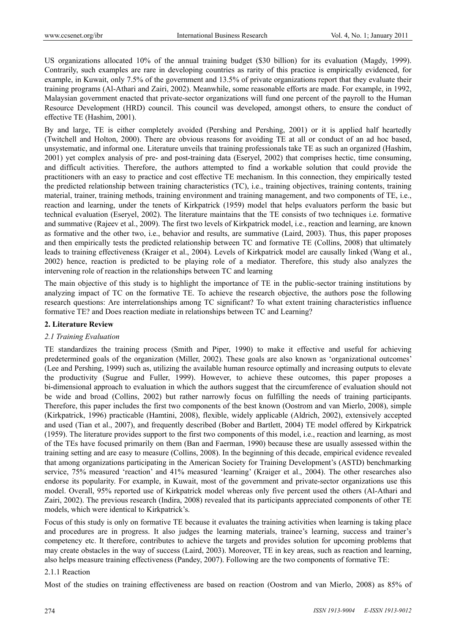US organizations allocated 10% of the annual training budget (\$30 billion) for its evaluation (Magdy, 1999). Contrarily, such examples are rare in developing countries as rarity of this practice is empirically evidenced, for example, in Kuwait, only 7.5% of the government and 13.5% of private organizations report that they evaluate their training programs (Al-Athari and Zairi, 2002). Meanwhile, some reasonable efforts are made. For example, in 1992, Malaysian government enacted that private-sector organizations will fund one percent of the payroll to the Human Resource Development (HRD) council. This council was developed, amongst others, to ensure the conduct of effective TE (Hashim, 2001).

By and large, TE is either completely avoided (Pershing and Pershing, 2001) or it is applied half heartedly (Twitchell and Holton, 2000). There are obvious reasons for avoiding TE at all or conduct of an ad hoc based, unsystematic, and informal one. Literature unveils that training professionals take TE as such an organized (Hashim, 2001) yet complex analysis of pre- and post-training data (Eseryel, 2002) that comprises hectic, time consuming, and difficult activities. Therefore, the authors attempted to find a workable solution that could provide the practitioners with an easy to practice and cost effective TE mechanism. In this connection, they empirically tested the predicted relationship between training characteristics (TC), i.e., training objectives, training contents, training material, trainer, training methods, training environment and training management, and two components of TE, i.e., reaction and learning, under the tenets of Kirkpatrick (1959) model that helps evaluators perform the basic but technical evaluation (Eseryel, 2002). The literature maintains that the TE consists of two techniques i.e. formative and summative (Rajeev et al., 2009). The first two levels of Kirkpatrick model, i.e., reaction and learning, are known as formative and the other two, i.e., behavior and results, are summative (Laird, 2003). Thus, this paper proposes and then empirically tests the predicted relationship between TC and formative TE (Collins, 2008) that ultimately leads to training effectiveness (Kraiger et al., 2004). Levels of Kirkpatrick model are causally linked (Wang et al., 2002) hence, reaction is predicted to be playing role of a mediator. Therefore, this study also analyzes the intervening role of reaction in the relationships between TC and learning

The main objective of this study is to highlight the importance of TE in the public-sector training institutions by analyzing impact of TC on the formative TE. To achieve the research objective, the authors pose the following research questions: Are interrelationships among TC significant? To what extent training characteristics influence formative TE? and Does reaction mediate in relationships between TC and Learning?

### **2. Literature Review**

### *2.1 Training Evaluation*

TE standardizes the training process (Smith and Piper, 1990) to make it effective and useful for achieving predetermined goals of the organization (Miller, 2002). These goals are also known as 'organizational outcomes' (Lee and Pershing, 1999) such as, utilizing the available human resource optimally and increasing outputs to elevate the productivity (Sugrue and Fuller, 1999). However, to achieve these outcomes, this paper proposes a bi-dimensional approach to evaluation in which the authors suggest that the circumference of evaluation should not be wide and broad (Collins, 2002) but rather narrowly focus on fulfilling the needs of training participants. Therefore, this paper includes the first two components of the best known (Oostrom and van Mierlo, 2008), simple (Kirkpatrick, 1996) practicable (Hamtini, 2008), flexible, widely applicable (Aldrich, 2002), extensively accepted and used (Tian et al., 2007), and frequently described (Bober and Bartlett, 2004) TE model offered by Kirkpatrick (1959). The literature provides support to the first two components of this model, i.e., reaction and learning, as most of the TEs have focused primarily on them (Ban and Faerman, 1990) because these are usually assessed within the training setting and are easy to measure (Collins, 2008). In the beginning of this decade, empirical evidence revealed that among organizations participating in the American Society for Training Development's (ASTD) benchmarking service, 75% measured 'reaction' and 41% measured 'learning' (Kraiger et al., 2004). The other researches also endorse its popularity. For example, in Kuwait, most of the government and private-sector organizations use this model. Overall, 95% reported use of Kirkpatrick model whereas only five percent used the others (Al-Athari and Zairi, 2002). The previous research (Indira, 2008) revealed that its participants appreciated components of other TE models, which were identical to Kirkpatrick's.

Focus of this study is only on formative TE because it evaluates the training activities when learning is taking place and procedures are in progress. It also judges the learning materials, trainee's learning, success and trainer's competency etc. It therefore, contributes to achieve the targets and provides solution for upcoming problems that may create obstacles in the way of success (Laird, 2003). Moreover, TE in key areas, such as reaction and learning, also helps measure training effectiveness (Pandey, 2007). Following are the two components of formative TE:

#### 2.1.1 Reaction

Most of the studies on training effectiveness are based on reaction (Oostrom and van Mierlo, 2008) as 85% of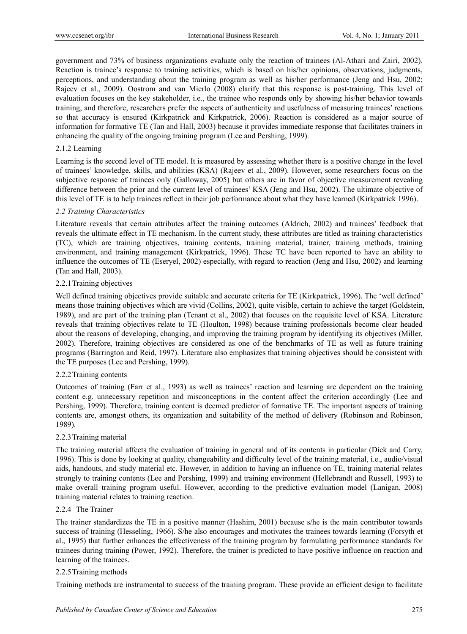government and 73% of business organizations evaluate only the reaction of trainees (Al-Athari and Zairi, 2002). Reaction is trainee's response to training activities, which is based on his/her opinions, observations, judgments, perceptions, and understanding about the training program as well as his/her performance (Jeng and Hsu, 2002; Rajeev et al., 2009). Oostrom and van Mierlo (2008) clarify that this response is post-training. This level of evaluation focuses on the key stakeholder, i.e., the trainee who responds only by showing his/her behavior towards training, and therefore, researchers prefer the aspects of authenticity and usefulness of measuring trainees' reactions so that accuracy is ensured (Kirkpatrick and Kirkpatrick, 2006). Reaction is considered as a major source of information for formative TE (Tan and Hall, 2003) because it provides immediate response that facilitates trainers in enhancing the quality of the ongoing training program (Lee and Pershing, 1999).

### 2.1.2 Learning

Learning is the second level of TE model. It is measured by assessing whether there is a positive change in the level of trainees' knowledge, skills, and abilities (KSA) (Rajeev et al., 2009). However, some researchers focus on the subjective response of trainees only (Galloway, 2005) but others are in favor of objective measurement revealing difference between the prior and the current level of trainees' KSA (Jeng and Hsu, 2002). The ultimate objective of this level of TE is to help trainees reflect in their job performance about what they have learned (Kirkpatrick 1996).

### *2.2 Training Characteristics*

Literature reveals that certain attributes affect the training outcomes (Aldrich, 2002) and trainees' feedback that reveals the ultimate effect in TE mechanism. In the current study, these attributes are titled as training characteristics (TC), which are training objectives, training contents, training material, trainer, training methods, training environment, and training management (Kirkpatrick, 1996). These TC have been reported to have an ability to influence the outcomes of TE (Eseryel, 2002) especially, with regard to reaction (Jeng and Hsu, 2002) and learning (Tan and Hall, 2003).

## 2.2.1 Training objectives

Well defined training objectives provide suitable and accurate criteria for TE (Kirkpatrick, 1996). The 'well defined' means those training objectives which are vivid (Collins, 2002), quite visible, certain to achieve the target (Goldstein, 1989), and are part of the training plan (Tenant et al., 2002) that focuses on the requisite level of KSA. Literature reveals that training objectives relate to TE (Houlton, 1998) because training professionals become clear headed about the reasons of developing, changing, and improving the training program by identifying its objectives (Miller, 2002). Therefore, training objectives are considered as one of the benchmarks of TE as well as future training programs (Barrington and Reid, 1997). Literature also emphasizes that training objectives should be consistent with the TE purposes (Lee and Pershing, 1999).

### 2.2.2 Training contents

Outcomes of training (Farr et al., 1993) as well as trainees' reaction and learning are dependent on the training content e.g. unnecessary repetition and misconceptions in the content affect the criterion accordingly (Lee and Pershing, 1999). Therefore, training content is deemed predictor of formative TE. The important aspects of training contents are, amongst others, its organization and suitability of the method of delivery (Robinson and Robinson, 1989).

### 2.2.3 Training material

The training material affects the evaluation of training in general and of its contents in particular (Dick and Carry, 1996). This is done by looking at quality, changeability and difficulty level of the training material, i.e., audio/visual aids, handouts, and study material etc. However, in addition to having an influence on TE, training material relates strongly to training contents (Lee and Pershing, 1999) and training environment (Hellebrandt and Russell, 1993) to make overall training program useful. However, according to the predictive evaluation model (Lanigan, 2008) training material relates to training reaction.

### 2.2.4 The Trainer

The trainer standardizes the TE in a positive manner (Hashim, 2001) because s/he is the main contributor towards success of training (Hesseling, 1966). S/he also encourages and motivates the trainees towards learning (Forsyth et al., 1995) that further enhances the effectiveness of the training program by formulating performance standards for trainees during training (Power, 1992). Therefore, the trainer is predicted to have positive influence on reaction and learning of the trainees.

### 2.2.5 Training methods

Training methods are instrumental to success of the training program. These provide an efficient design to facilitate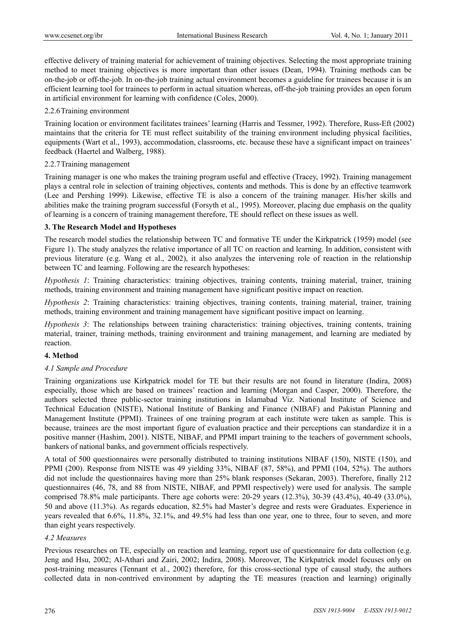effective delivery of training material for achievement of training objectives. Selecting the most appropriate training method to meet training objectives is more important than other issues (Dean, 1994). Training methods can be on-the-job or off-the-job. In on-the-job training actual environment becomes a guideline for trainees because it is an efficient learning tool for trainees to perform in actual situation whereas, off-the-job training provides an open forum in artificial environment for learning with confidence (Coles, 2000).

#### 2.2.6 Training environment

Training location or environment facilitates trainees' learning (Harris and Tessmer, 1992). Therefore, Russ-Eft (2002) maintains that the criteria for TE must reflect suitability of the training environment including physical facilities, equipments (Wart et al., 1993), accommodation, classrooms, etc. because these have a significant impact on trainees' feedback (Haertel and Walberg, 1988).

### 2.2.7 Training management

Training manager is one who makes the training program useful and effective (Tracey, 1992). Training management plays a central role in selection of training objectives, contents and methods. This is done by an effective teamwork (Lee and Pershing 1999). Likewise, effective TE is also a concern of the training manager. His/her skills and abilities make the training program successful (Forsyth et al., 1995). Moreover, placing due emphasis on the quality of learning is a concern of training management therefore, TE should reflect on these issues as well.

## **3. The Research Model and Hypotheses**

The research model studies the relationship between TC and formative TE under the Kirkpatrick (1959) model (see Figure 1). The study analyzes the relative importance of all TC on reaction and learning. In addition, consistent with previous literature (e.g. Wang et al., 2002), it also analyzes the intervening role of reaction in the relationship between TC and learning. Following are the research hypotheses:

*Hypothesis 1*: Training characteristics: training objectives, training contents, training material, trainer, training methods, training environment and training management have significant positive impact on reaction.

*Hypothesis 2*: Training characteristics: training objectives, training contents, training material, trainer, training methods, training environment and training management have significant positive impact on learning.

*Hypothesis 3*: The relationships between training characteristics: training objectives, training contents, training material, trainer, training methods, training environment and training management, and learning are mediated by reaction.

### **4. Method**

### *4.1 Sample and Procedure*

Training organizations use Kirkpatrick model for TE but their results are not found in literature (Indira, 2008) especially, those which are based on trainees' reaction and learning (Morgan and Casper, 2000). Therefore, the authors selected three public-sector training institutions in Islamabad Viz. National Institute of Science and Technical Education (NISTE), National Institute of Banking and Finance (NIBAF) and Pakistan Planning and Management Institute (PPMI). Trainees of one training program at each institute were taken as sample. This is because, trainees are the most important figure of evaluation practice and their perceptions can standardize it in a positive manner (Hashim, 2001). NISTE, NIBAF, and PPMI impart training to the teachers of government schools, bankers of national banks, and government officials respectively.

A total of 500 questionnaires were personally distributed to training institutions NIBAF (150), NISTE (150), and PPMI (200). Response from NISTE was 49 yielding 33%, NIBAF (87, 58%), and PPMI (104, 52%). The authors did not include the questionnaires having more than 25% blank responses (Sekaran, 2003). Therefore, finally 212 questionnaires (46, 78, and 88 from NISTE, NIBAF, and PPMI respectively) were used for analysis. The sample comprised 78.8% male participants. There age cohorts were: 20-29 years (12.3%), 30-39 (43.4%), 40-49 (33.0%), 50 and above (11.3%). As regards education, 82.5% had Master's degree and rests were Graduates. Experience in years revealed that 6.6%, 11.8%, 32.1%, and 49.5% had less than one year, one to three, four to seven, and more than eight years respectively.

#### *4.2 Measures*

Previous researches on TE, especially on reaction and learning, report use of questionnaire for data collection (e.g. Jeng and Hsu, 2002; Al-Athari and Zairi, 2002; Indira, 2008). Moreover, The Kirkpatrick model focuses only on post-training measures (Tennant et al., 2002) therefore, for this cross-sectional type of causal study, the authors collected data in non-contrived environment by adapting the TE measures (reaction and learning) originally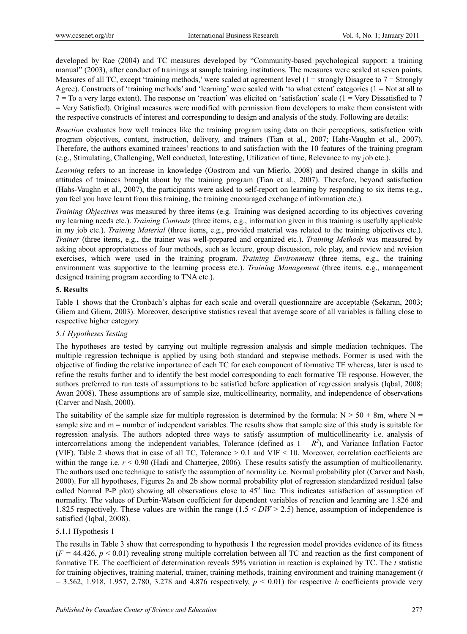developed by Rae (2004) and TC measures developed by "Community-based psychological support: a training manual" (2003), after conduct of trainings at sample training institutions. The measures were scaled at seven points. Measures of all TC, except 'training methods,' were scaled at agreement level  $(1 = \text{strongly Disagree to } 7 = \text{Strongly}$ Agree). Constructs of 'training methods' and 'learning' were scaled with 'to what extent' categories  $(1 = Not at all to$  $7 =$  To a very large extent). The response on 'reaction' was elicited on 'satisfaction' scale (1 = Very Dissatisfied to 7 = Very Satisfied). Original measures were modified with permission from developers to make them consistent with the respective constructs of interest and corresponding to design and analysis of the study. Following are details:

*Reaction* evaluates how well trainees like the training program using data on their perceptions, satisfaction with program objectives, content, instruction, delivery, and trainers (Tian et al., 2007; Hahs-Vaughn et al., 2007). Therefore, the authors examined trainees' reactions to and satisfaction with the 10 features of the training program (e.g., Stimulating, Challenging, Well conducted, Interesting, Utilization of time, Relevance to my job etc.).

*Learning* refers to an increase in knowledge (Oostrom and van Mierlo, 2008) and desired change in skills and attitudes of trainees brought about by the training program (Tian et al., 2007). Therefore, beyond satisfaction (Hahs-Vaughn et al., 2007), the participants were asked to self-report on learning by responding to six items (e.g., you feel you have learnt from this training, the training encouraged exchange of information etc.).

*Training Objectives* was measured by three items (e.g. Training was designed according to its objectives covering my learning needs etc.). *Training Contents* (three items, e.g., information given in this training is usefully applicable in my job etc.). *Training Material* (three items, e.g., provided material was related to the training objectives etc.). *Trainer* (three items, e.g., the trainer was well-prepared and organized etc.). *Training Methods* was measured by asking about appropriateness of four methods, such as lecture, group discussion, role play, and review and revision exercises, which were used in the training program. *Training Environment* (three items, e.g., the training environment was supportive to the learning process etc.). *Training Management* (three items, e.g., management designed training program according to TNA etc.).

## **5. Results**

Table 1 shows that the Cronbach's alphas for each scale and overall questionnaire are acceptable (Sekaran, 2003; Gliem and Gliem, 2003). Moreover, descriptive statistics reveal that average score of all variables is falling close to respective higher category.

# *5.1 Hypotheses Testing*

The hypotheses are tested by carrying out multiple regression analysis and simple mediation techniques. The multiple regression technique is applied by using both standard and stepwise methods. Former is used with the objective of finding the relative importance of each TC for each component of formative TE whereas, later is used to refine the results further and to identify the best model corresponding to each formative TE response. However, the authors preferred to run tests of assumptions to be satisfied before application of regression analysis (Iqbal, 2008; Awan 2008). These assumptions are of sample size, multicollinearity, normality, and independence of observations (Carver and Nash, 2000).

The suitability of the sample size for multiple regression is determined by the formula:  $N > 50 + 8$ m, where N = sample size and m = number of independent variables. The results show that sample size of this study is suitable for regression analysis. The authors adopted three ways to satisfy assumption of multicollinearity i.e. analysis of intercorrelations among the independent variables, Tolerance (defined as  $1 - R^2$ ), and Variance Inflation Factor (VIF). Table 2 shows that in case of all TC, Tolerance > 0.1 and VIF < 10. Moreover, correlation coefficients are within the range i.e.  $r < 0.90$  (Hadi and Chatterjee, 2006). These results satisfy the assumption of multicollenarity. The authors used one technique to satisfy the assumption of normality i.e. Normal probability plot (Carver and Nash, 2000). For all hypotheses, Figures 2a and 2b show normal probability plot of regression standardized residual (also called Normal P-P plot) showing all observations close to  $45^{\circ}$  line. This indicates satisfaction of assumption of normality. The values of Durbin-Watson coefficient for dependent variables of reaction and learning are 1.826 and 1.825 respectively. These values are within the range (1.5 < *DW* > 2.5) hence, assumption of independence is satisfied (Iqbal, 2008).

### 5.1.1 Hypothesis 1

The results in Table 3 show that corresponding to hypothesis 1 the regression model provides evidence of its fitness  $(F = 44.426, p < 0.01)$  revealing strong multiple correlation between all TC and reaction as the first component of formative TE. The coefficient of determination reveals 59% variation in reaction is explained by TC. The *t* statistic for training objectives, training material, trainer, training methods, training environment and training management (*t*  $= 3.562, 1.918, 1.957, 2.780, 3.278$  and 4.876 respectively,  $p < 0.01$ ) for respective *b* coefficients provide very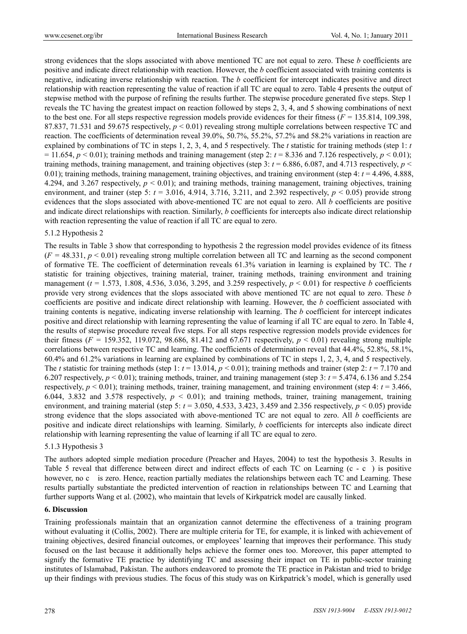strong evidences that the slops associated with above mentioned TC are not equal to zero. These *b* coefficients are positive and indicate direct relationship with reaction. However, the *b* coefficient associated with training contents is negative, indicating inverse relationship with reaction. The *b* coefficient for intercept indicates positive and direct relationship with reaction representing the value of reaction if all TC are equal to zero. Table 4 presents the output of stepwise method with the purpose of refining the results further. The stepwise procedure generated five steps. Step 1 reveals the TC having the greatest impact on reaction followed by steps 2, 3, 4, and 5 showing combinations of next to the best one. For all steps respective regression models provide evidences for their fitness (*F =* 135.814, 109.398, 87.837, 71.531 and 59.675 respectively, *p* < 0.01) revealing strong multiple correlations between respective TC and reaction. The coefficients of determination reveal 39.0%, 50.7%, 55.2%, 57.2% and 58.2% variations in reaction are explained by combinations of TC in steps 1, 2, 3, 4, and 5 respectively. The *t* statistic for training methods (step 1: *t*  $= 11.654$ ,  $p < 0.01$ ); training methods and training management (step 2:  $t = 8.336$  and 7.126 respectively,  $p < 0.01$ ); training methods, training management, and training objectives (step 3:  $t = 6.886, 6.087,$  and 4.713 respectively,  $p \leq$ 0.01); training methods, training management, training objectives, and training environment (step 4: *t* = 4.496, 4.888, 4.294, and 3.267 respectively, *p* < 0.01); and training methods, training management, training objectives, training environment, and trainer (step 5:  $t = 3.016$ , 4.914, 3.716, 3.211, and 2.392 respectively,  $p < 0.05$ ) provide strong evidences that the slops associated with above-mentioned TC are not equal to zero. All *b* coefficients are positive and indicate direct relationships with reaction. Similarly, *b* coefficients for intercepts also indicate direct relationship with reaction representing the value of reaction if all TC are equal to zero.

#### 5.1.2 Hypothesis 2

The results in Table 3 show that corresponding to hypothesis 2 the regression model provides evidence of its fitness  $(F = 48.331, p < 0.01)$  revealing strong multiple correlation between all TC and learning as the second component of formative TE. The coefficient of determination reveals 61.3% variation in learning is explained by TC. The *t* statistic for training objectives, training material, trainer, training methods, training environment and training management (*t* = 1.573, 1.808, 4.536, 3.036, 3.295, and 3.259 respectively, *p* < 0.01) for respective *b* coefficients provide very strong evidences that the slops associated with above mentioned TC are not equal to zero. These *b* coefficients are positive and indicate direct relationship with learning. However, the *b* coefficient associated with training contents is negative, indicating inverse relationship with learning. The *b* coefficient for intercept indicates positive and direct relationship with learning representing the value of learning if all TC are equal to zero. In Table 4, the results of stepwise procedure reveal five steps. For all steps respective regression models provide evidences for their fitness  $(F = 159.352, 119.072, 98.686, 81.412$  and 67.671 respectively,  $p \le 0.01$ ) revealing strong multiple correlations between respective TC and learning. The coefficients of determination reveal that 44.4%, 52.8%, 58.1%, 60.4% and 61.2% variations in learning are explained by combinations of TC in steps 1, 2, 3, 4, and 5 respectively. The *t* statistic for training methods (step 1:  $t = 13.014$ ,  $p < 0.01$ ); training methods and trainer (step 2:  $t = 7.170$  and 6.207 respectively,  $p < 0.01$ ); training methods, trainer, and training management (step 3:  $t = 5.474$ , 6.136 and 5.254 respectively,  $p < 0.01$ ); training methods, trainer, training management, and training environment (step 4:  $t = 3.466$ , 6.044, 3.832 and 3.578 respectively,  $p \le 0.01$ ; and training methods, trainer, training management, training environment, and training material (step 5:  $t = 3.050$ , 4.533, 3.423, 3.459 and 2.356 respectively,  $p < 0.05$ ) provide strong evidence that the slops associated with above-mentioned TC are not equal to zero. All *b* coefficients are positive and indicate direct relationships with learning. Similarly, *b* coefficients for intercepts also indicate direct relationship with learning representing the value of learning if all TC are equal to zero.

#### 5.1.3 Hypothesis 3

The authors adopted simple mediation procedure (Preacher and Hayes, 2004) to test the hypothesis 3. Results in Table 5 reveal that difference between direct and indirect effects of each TC on Learning (c - c) is positive however, no c is zero. Hence, reaction partially mediates the relationships between each TC and Learning. These results partially substantiate the predicted intervention of reaction in relationships between TC and Learning that further supports Wang et al. (2002), who maintain that levels of Kirkpatrick model are causally linked.

#### **6. Discussion**

Training professionals maintain that an organization cannot determine the effectiveness of a training program without evaluating it (Collis, 2002). There are multiple criteria for TE, for example, it is linked with achievement of training objectives, desired financial outcomes, or employees' learning that improves their performance. This study focused on the last because it additionally helps achieve the former ones too. Moreover, this paper attempted to signify the formative TE practice by identifying TC and assessing their impact on TE in public-sector training institutes of Islamabad, Pakistan. The authors endeavored to promote the TE practice in Pakistan and tried to bridge up their findings with previous studies. The focus of this study was on Kirkpatrick's model, which is generally used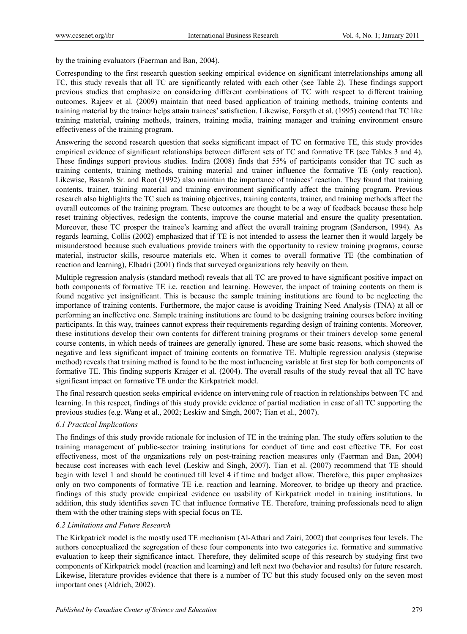by the training evaluators (Faerman and Ban, 2004).

Corresponding to the first research question seeking empirical evidence on significant interrelationships among all TC, this study reveals that all TC are significantly related with each other (see Table 2). These findings support previous studies that emphasize on considering different combinations of TC with respect to different training outcomes. Rajeev et al. (2009) maintain that need based application of training methods, training contents and training material by the trainer helps attain trainees' satisfaction. Likewise, Forsyth et al. (1995) contend that TC like training material, training methods, trainers, training media, training manager and training environment ensure effectiveness of the training program.

Answering the second research question that seeks significant impact of TC on formative TE, this study provides empirical evidence of significant relationships between different sets of TC and formative TE (see Tables 3 and 4). These findings support previous studies. Indira (2008) finds that 55% of participants consider that TC such as training contents, training methods, training material and trainer influence the formative TE (only reaction). Likewise, Basarab Sr. and Root (1992) also maintain the importance of trainees' reaction. They found that training contents, trainer, training material and training environment significantly affect the training program. Previous research also highlights the TC such as training objectives, training contents, trainer, and training methods affect the overall outcomes of the training program. These outcomes are thought to be a way of feedback because these help reset training objectives, redesign the contents, improve the course material and ensure the quality presentation. Moreover, these TC prosper the trainee's learning and affect the overall training program (Sanderson, 1994). As regards learning, Collis (2002) emphasized that if TE is not intended to assess the learner then it would largely be misunderstood because such evaluations provide trainers with the opportunity to review training programs, course material, instructor skills, resource materials etc. When it comes to overall formative TE (the combination of reaction and learning), Elbadri (2001) finds that surveyed organizations rely heavily on them.

Multiple regression analysis (standard method) reveals that all TC are proved to have significant positive impact on both components of formative TE i.e. reaction and learning. However, the impact of training contents on them is found negative yet insignificant. This is because the sample training institutions are found to be neglecting the importance of training contents. Furthermore, the major cause is avoiding Training Need Analysis (TNA) at all or performing an ineffective one. Sample training institutions are found to be designing training courses before inviting participants. In this way, trainees cannot express their requirements regarding design of training contents. Moreover, these institutions develop their own contents for different training programs or their trainers develop some general course contents, in which needs of trainees are generally ignored. These are some basic reasons, which showed the negative and less significant impact of training contents on formative TE. Multiple regression analysis (stepwise method) reveals that training method is found to be the most influencing variable at first step for both components of formative TE. This finding supports Kraiger et al. (2004). The overall results of the study reveal that all TC have significant impact on formative TE under the Kirkpatrick model.

The final research question seeks empirical evidence on intervening role of reaction in relationships between TC and learning. In this respect, findings of this study provide evidence of partial mediation in case of all TC supporting the previous studies (e.g. Wang et al., 2002; Leskiw and Singh, 2007; Tian et al., 2007).

# *6.1 Practical Implications*

The findings of this study provide rationale for inclusion of TE in the training plan. The study offers solution to the training management of public-sector training institutions for conduct of time and cost effective TE. For cost effectiveness, most of the organizations rely on post-training reaction measures only (Faerman and Ban, 2004) because cost increases with each level (Leskiw and Singh, 2007). Tian et al. (2007) recommend that TE should begin with level 1 and should be continued till level 4 if time and budget allow. Therefore, this paper emphasizes only on two components of formative TE i.e. reaction and learning. Moreover, to bridge up theory and practice, findings of this study provide empirical evidence on usability of Kirkpatrick model in training institutions. In addition, this study identifies seven TC that influence formative TE. Therefore, training professionals need to align them with the other training steps with special focus on TE.

# *6.2 Limitations and Future Research*

The Kirkpatrick model is the mostly used TE mechanism (Al-Athari and Zairi, 2002) that comprises four levels. The authors conceptualized the segregation of these four components into two categories i.e. formative and summative evaluation to keep their significance intact. Therefore, they delimited scope of this research by studying first two components of Kirkpatrick model (reaction and learning) and left next two (behavior and results) for future research. Likewise, literature provides evidence that there is a number of TC but this study focused only on the seven most important ones (Aldrich, 2002).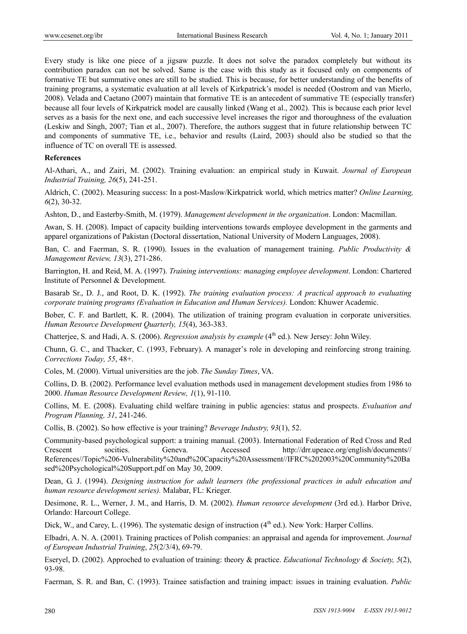Every study is like one piece of a jigsaw puzzle. It does not solve the paradox completely but without its contribution paradox can not be solved. Same is the case with this study as it focused only on components of formative TE but summative ones are still to be studied. This is because, for better understanding of the benefits of training programs, a systematic evaluation at all levels of Kirkpatrick's model is needed (Oostrom and van Mierlo, 2008). Velada and Caetano (2007) maintain that formative TE is an antecedent of summative TE (especially transfer) because all four levels of Kirkpatrick model are causally linked (Wang et al., 2002). This is because each prior level serves as a basis for the next one, and each successive level increases the rigor and thoroughness of the evaluation (Leskiw and Singh, 2007; Tian et al., 2007). Therefore, the authors suggest that in future relationship between TC and components of summative TE, i.e., behavior and results (Laird, 2003) should also be studied so that the influence of TC on overall TE is assessed.

#### **References**

Al-Athari, A., and Zairi, M. (2002). Training evaluation: an empirical study in Kuwait. *Journal of European Industrial Training, 26*(5), 241-251.

Aldrich, C. (2002). Measuring success: In a post-Maslow/Kirkpatrick world, which metrics matter? *Online Learning, 6*(2), 30-32.

Ashton, D., and Easterby-Smith, M. (1979). *Management development in the organization*. London: Macmillan.

Awan, S. H. (2008). Impact of capacity building interventions towards employee development in the garments and apparel organizations of Pakistan (Doctoral dissertation, National University of Modern Languages, 2008).

Ban, C. and Faerman, S. R. (1990). Issues in the evaluation of management training. *Public Productivity & Management Review, 13*(3), 271-286.

Barrington, H. and Reid, M. A. (1997). *Training interventions: managing employee development*. London: Chartered Institute of Personnel & Development.

Basarab Sr., D. J., and Root, D. K. (1992). *The training evaluation process: A practical approach to evaluating corporate training programs (Evaluation in Education and Human Services).* London: Khuwer Academic.

Bober, C. F. and Bartlett, K. R. (2004). The utilization of training program evaluation in corporate universities. *Human Resource Development Quarterly, 15*(4), 363-383.

Chatterjee, S. and Hadi, A. S. (2006). *Regression analysis by example* (4<sup>th</sup> ed.). New Jersey: John Wiley.

Chunn, G. C., and Thacker, C. (1993, February). A manager's role in developing and reinforcing strong training. *Corrections Today, 55*, 48+.

Coles, M. (2000). Virtual universities are the job. *The Sunday Times*, VA.

Collins, D. B. (2002). Performance level evaluation methods used in management development studies from 1986 to 2000. *Human Resource Development Review, 1*(1), 91-110.

Collins, M. E. (2008). Evaluating child welfare training in public agencies: status and prospects. *Evaluation and Program Planning, 31*, 241-246.

Collis, B. (2002). So how effective is your training? *Beverage Industry, 93*(1), 52.

Community-based psychological support: a training manual. (2003). International Federation of Red Cross and Red Crescent socities. Geneva. Accessed http://drr.upeace.org/english/documents// References//Topic%206-Vulnerability%20and%20Capacity%20Assessment//IFRC%202003%20Community%20Ba sed%20Psychological%20Support.pdf on May 30, 2009.

Dean, G. J. (1994). *Designing instruction for adult learners (the professional practices in adult education and human resource development series).* Malabar, FL: Krieger.

Desimone, R. L., Werner, J. M., and Harris, D. M. (2002). *Human resource development* (3rd ed.). Harbor Drive, Orlando: Harcourt College.

Dick, W., and Carey, L. (1996). The systematic design of instruction  $(4<sup>th</sup>$  ed.). New York: Harper Collins.

Elbadri, A. N. A. (2001). Training practices of Polish companies: an appraisal and agenda for improvement. *Journal of European Industrial Training*, *25*(2/3/4), 69-79.

Eseryel, D. (2002). Approched to evaluation of training: theory & practice. *Educational Technology & Society, 5*(2), 93-98.

Faerman, S. R. and Ban, C. (1993). Trainee satisfaction and training impact: issues in training evaluation. *Public*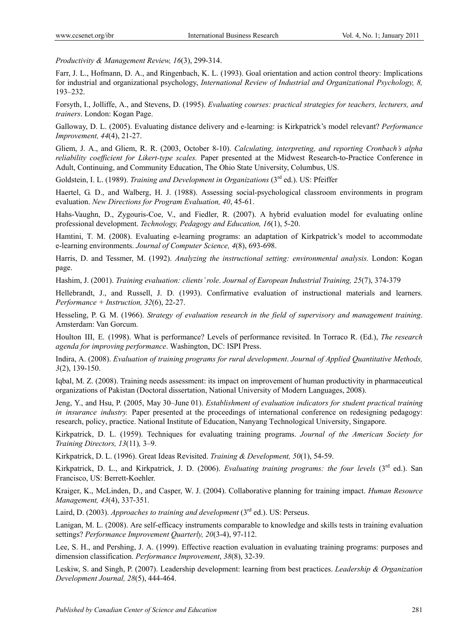*Productivity & Management Review, 16*(3), 299-314.

Farr, J. L., Hofmann, D. A., and Ringenbach, K. L. (1993). Goal orientation and action control theory: Implications for industrial and organizational psychology, *International Review of Industrial and Organizational Psychology, 8,*  193–232.

Forsyth, I., Jolliffe, A., and Stevens, D. (1995). *Evaluating courses: practical strategies for teachers, lecturers, and trainers*. London: Kogan Page.

Galloway, D. L. (2005). Evaluating distance delivery and e-learning: is Kirkpatrick's model relevant? *Performance Improvement, 44*(4), 21-27.

Gliem, J. A., and Gliem, R. R. (2003, October 8-10). *Calculating, interpreting, and reporting Cronbach's alpha reliability coefficient for Likert-type scales.* Paper presented at the Midwest Research-to-Practice Conference in Adult, Continuing, and Community Education, The Ohio State University, Columbus, US.

Goldstein, I. L. (1989). *Training and Development in Organizations* (3rd ed.). US: Pfeiffer

Haertel, G. D., and Walberg, H. J. (1988). Assessing social-psychological classroom environments in program evaluation. *New Directions for Program Evaluation, 40*, 45-61.

Hahs-Vaughn, D., Zygouris-Coe, V., and Fiedler, R. (2007). A hybrid evaluation model for evaluating online professional development. *Technology, Pedagogy and Education, 16*(1), 5-20.

Hamtini, T. M. (2008). Evaluating e-learning programs: an adaptation of Kirkpatrick's model to accommodate e-learning environments. *Journal of Computer Science, 4*(8), 693-698.

Harris, D. and Tessmer, M. (1992). *Analyzing the instructional setting: environmental analysis.* London: Kogan page.

Hashim, J. (2001). *Training evaluation: clients' role*. *Journal of European Industrial Training, 25*(7), 374-379

Hellebrandt, J., and Russell, J. D. (1993). Confirmative evaluation of instructional materials and learners. *Performance + Instruction, 32*(6), 22-27.

Hesseling, P. G. M. (1966). *Strategy of evaluation research in the field of supervisory and management training*. Amsterdam: Van Gorcum.

Houlton III, E. (1998). What is performance? Levels of performance revisited. In Torraco R. (Ed.), *The research agenda for improving performance*. Washington, DC: ISPI Press.

Indira, A. (2008). *Evaluation of training programs for rural development*. *Journal of Applied Quantitative Methods, 3*(2), 139-150.

Iqbal, M. Z. (2008). Training needs assessment: its impact on improvement of human productivity in pharmaceutical organizations of Pakistan (Doctoral dissertation, National University of Modern Languages, 2008).

Jeng, Y., and Hsu, P. (2005, May 30–June 01). *Establishment of evaluation indicators for student practical training in insurance industry.* Paper presented at the proceedings of international conference on redesigning pedagogy: research, policy, practice. National Institute of Education, Nanyang Technological University, Singapore.

Kirkpatrick, D. L. (1959). Techniques for evaluating training programs. *Journal of the American Society for Training Directors, 13*(11)*,* 3–9.

Kirkpatrick, D. L. (1996). Great Ideas Revisited. *Training & Development, 50*(1), 54-59.

Kirkpatrick, D. L., and Kirkpatrick, J. D. (2006). *Evaluating training programs: the four levels* (3<sup>rd</sup> ed.). San Francisco, US: Berrett-Koehler.

Kraiger, K., McLinden, D., and Casper, W. J. (2004). Collaborative planning for training impact. *Human Resource Management, 43*(4), 337-351.

Laird, D. (2003). *Approaches to training and development* (3<sup>rd</sup> ed.). US: Perseus.

Lanigan, M. L. (2008). Are self-efficacy instruments comparable to knowledge and skills tests in training evaluation settings? *Performance Improvement Quarterly, 20*(3-4), 97-112.

Lee, S. H., and Pershing, J. A. (1999). Effective reaction evaluation in evaluating training programs: purposes and dimension classification. *Performance Improvement*, *38*(8), 32-39.

Leskiw, S. and Singh, P. (2007). Leadership development: learning from best practices. *Leadership & Organization Development Journal, 28*(5), 444-464.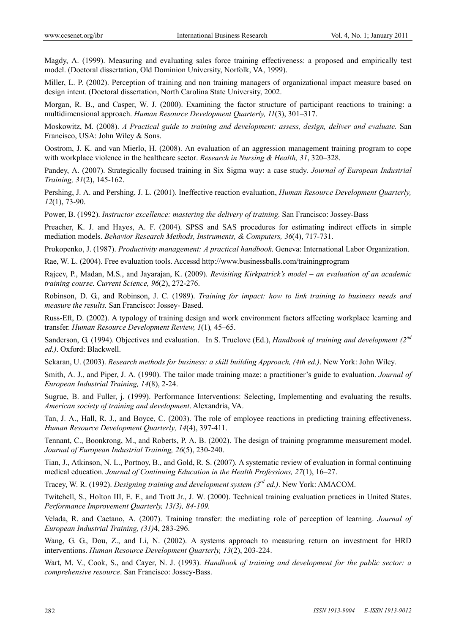Magdy, A. (1999). Measuring and evaluating sales force training effectiveness: a proposed and empirically test model. (Doctoral dissertation, Old Dominion University, Norfolk, VA, 1999).

Miller, L. P. (2002). Perception of training and non training managers of organizational impact measure based on design intent. (Doctoral dissertation, North Carolina State University, 2002.

Morgan, R. B., and Casper, W. J. (2000). Examining the factor structure of participant reactions to training: a multidimensional approach. *Human Resource Development Quarterly, 11*(3), 301–317.

Moskowitz, M. (2008). *A Practical guide to training and development: assess, design, deliver and evaluate.* San Francisco, USA: John Wiley & Sons.

Oostrom, J. K. and van Mierlo, H. (2008). An evaluation of an aggression management training program to cope with workplace violence in the healthcare sector. *Research in Nursing & Health, 31*, 320–328.

Pandey, A. (2007). Strategically focused training in Six Sigma way: a case study. *Journal of European Industrial Training, 31*(2), 145-162.

Pershing, J. A. and Pershing, J. L. (2001). Ineffective reaction evaluation, *Human Resource Development Quarterly, 12*(1), 73-90.

Power, B. (1992). *Instructor excellence: mastering the delivery of training.* San Francisco: Jossey-Bass

Preacher, K. J. and Hayes, A. F. (2004). SPSS and SAS procedures for estimating indirect effects in simple mediation models. *Behavior Research Methods, Instruments, & Computers, 36*(4), 717-731.

Prokopenko, J. (1987). *Productivity management: A practical handbook*. Geneva: International Labor Organization.

Rae, W. L. (2004). Free evaluation tools. Accessd http://www.businessballs.com/trainingprogram

Rajeev, P., Madan, M.S., and Jayarajan, K. (2009). *Revisiting Kirkpatrick's model – an evaluation of an academic training course*. *Current Science, 96*(2), 272-276.

Robinson, D. G., and Robinson, J. C. (1989). *Training for impact: how to link training to business needs and measure the results.* San Francisco: Jossey- Based.

Russ-Eft, D. (2002). A typology of training design and work environment factors affecting workplace learning and transfer. *Human Resource Development Review, 1*(1)*,* 45–65.

Sanderson, G. (1994). Objectives and evaluation. In S. Truelove (Ed.), *Handbook of training and development (2nd ed.)*. Oxford: Blackwell.

Sekaran, U. (2003). *Research methods for business: a skill building Approach, (4th ed.)*. New York: John Wiley.

Smith, A. J., and Piper, J. A. (1990). The tailor made training maze: a practitioner's guide to evaluation. *Journal of European Industrial Training, 14*(8), 2-24.

Sugrue, B. and Fuller, j. (1999). Performance Interventions: Selecting, Implementing and evaluating the results. *American society of training and development*. Alexandria, VA.

Tan, J. A., Hall, R. J., and Boyce, C. (2003). The role of employee reactions in predicting training effectiveness. *Human Resource Development Quarterly, 14*(4), 397-411.

Tennant, C., Boonkrong, M., and Roberts, P. A. B. (2002). The design of training programme measurement model. *Journal of European Industrial Training, 26*(5), 230-240.

Tian, J., Atkinson, N. L., Portnoy, B., and Gold, R. S. (2007). A systematic review of evaluation in formal continuing medical education. *Journal of Continuing Education in the Health Professions, 27*(1), 16–27.

Tracey, W. R. (1992). *Designing training and development system (3rd ed.)*. New York: AMACOM.

Twitchell, S., Holton III, E. F., and Trott Jr., J. W. (2000). Technical training evaluation practices in United States. *Performance Improvement Quarterly, 13(3), 84-109.* 

Velada, R. and Caetano, A. (2007). Training transfer: the mediating role of perception of learning. *Journal of European Industrial Training, (31)*4, 283-296.

Wang, G. G., Dou, Z., and Li, N. (2002). A systems approach to measuring return on investment for HRD interventions. *Human Resource Development Quarterly, 13*(2), 203-224.

Wart, M. V., Cook, S., and Cayer, N. J. (1993). *Handbook of training and development for the public sector: a comprehensive resource*. San Francisco: Jossey-Bass.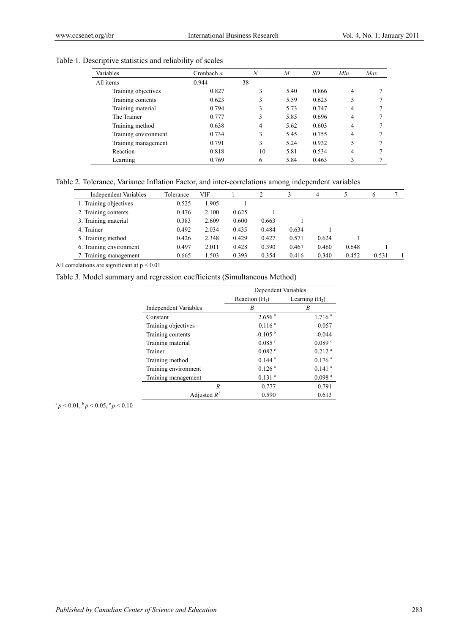| Variables            | Cronbach $\alpha$ | $\boldsymbol{N}$ | $\boldsymbol{M}$ | SD    | Min. | Max. |
|----------------------|-------------------|------------------|------------------|-------|------|------|
| All items            | 0.944             | 38               |                  |       |      |      |
| Training objectives  | 0.827             | 3                | 5.40             | 0.866 | 4    |      |
| Training contents    | 0.623             |                  | 5.59             | 0.625 | 5    |      |
| Training material    | 0.794             | 3                | 5.73             | 0.747 | 4    |      |
| The Trainer          | 0.777             | 3                | 5.85             | 0.696 | 4    |      |
| Training method      | 0.638             | 4                | 5.62             | 0.603 | 4    |      |
| Training environment | 0.734             | 3                | 5.45             | 0.755 | 4    |      |
| Training management  | 0.791             | 3                | 5.24             | 0.932 | 5    |      |
| Reaction             | 0.818             | 10               | 5.81             | 0.534 | 4    |      |
| Learning             | 0.769             | 6                | 5.84             | 0.463 | 3    |      |

## Table 1. Descriptive statistics and reliability of scales

Table 2. Tolerance, Variance Inflation Factor, and inter-correlations among independent variables

| Independent Variables   | Tolerance | VIF   |       |       |       | 4     |       | b     |  |
|-------------------------|-----------|-------|-------|-------|-------|-------|-------|-------|--|
| 1. Training objectives  | 0.525     | 1.905 |       |       |       |       |       |       |  |
| 2. Training contents    | 0.476     | 2.100 | 0.625 |       |       |       |       |       |  |
| 3. Training material    | 0.383     | 2.609 | 0.600 | 0.663 |       |       |       |       |  |
| 4. Trainer              | 0.492     | 2.034 | 0.435 | 0.484 | 0.634 |       |       |       |  |
| 5. Training method      | 0.426     | 2.348 | 0.429 | 0.427 | 0.571 | 0.624 |       |       |  |
| 6. Training environment | 0.497     | 2.011 | 0.428 | 0.390 | 0.467 | 0.460 | 0.648 |       |  |
| 7. Training management  | 0.665     | 1.503 | 0.393 | 0.354 | 0.416 | 0.340 | 0.452 | 0.531 |  |

All correlations are significant at  $p < 0.01$ 

Table 3. Model summary and regression coefficients (Simultaneous Method)

|                              | Dependent Variables  |                      |  |
|------------------------------|----------------------|----------------------|--|
|                              | Reaction $(H_1)$     | Learning $(H2)$      |  |
| <b>Independent Variables</b> | B                    | B                    |  |
| Constant                     | 2.656 <sup>a</sup>   | 1.716 <sup>a</sup>   |  |
| Training objectives          | 0.116 <sup>a</sup>   | 0.057                |  |
| Training contents            | $-0.105b$            | $-0.044$             |  |
| Training material            | $0.085$ °            | 0.089 °              |  |
| Trainer                      | $0.082$ °            | 0.212 <sup>a</sup>   |  |
| Training method              | $0.144$ <sup>a</sup> | 0.176 <sup>a</sup>   |  |
| Training environment         | $0.126$ <sup>a</sup> | $0.141$ <sup>a</sup> |  |
| Training management          | $0.131$ <sup>a</sup> | 0.098 <sup>a</sup>   |  |
| R                            | 0.777                | 0.791                |  |
| Adjusted $R^2$               | 0.590                | 0.613                |  |

 $a_p < 0.01$ ,  $b_p < 0.05$ ,  $c_p < 0.10$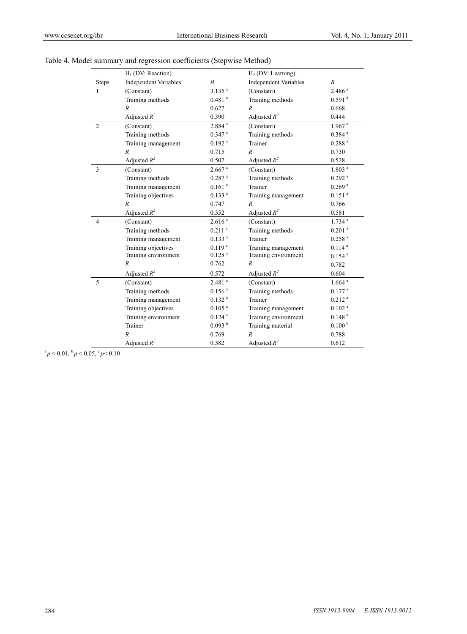|                | $H1$ (DV: Reaction)          |                      | $H2$ (DV: Learning)          |                      |
|----------------|------------------------------|----------------------|------------------------------|----------------------|
| <b>Steps</b>   | <b>Independent Variables</b> | $\boldsymbol{B}$     | <b>Independent Variables</b> | B                    |
| $\mathbf{1}$   | (Constant)                   | $3.135$ <sup>a</sup> | (Constant)                   | 2.486 <sup>a</sup>   |
|                | Training methods             | $0.481$ <sup>a</sup> | Training methods             | $0.591$ <sup>a</sup> |
|                | $\overline{R}$               | 0.627                | $\boldsymbol{R}$             | 0.668                |
|                | Adjusted $R^2$               | 0.390                | Adjusted $R^2$               | 0.444                |
| $\overline{2}$ | (Constant)                   | 2.884 <sup>a</sup>   | (Constant)                   | $1.967$ <sup>a</sup> |
|                | Training methods             | $0.347$ <sup>a</sup> | Training methods             | $0.384$ <sup>a</sup> |
|                | Training management          | $0.192$ <sup>a</sup> | Trainer                      | 0.288 <sup>a</sup>   |
|                | $\overline{R}$               | 0.715                | $\overline{R}$               | 0.730                |
|                | Adjusted $R^2$               | 0.507                | Adjusted $R^2$               | 0.528                |
| 3              | (Constant)                   | $2.667$ <sup>a</sup> | (Constant)                   | 1.803 <sup>a</sup>   |
|                | Training methods             | $0.287$ <sup>a</sup> | Training methods             | $0.292$ <sup>a</sup> |
|                | Training management          | $0.161$ <sup>a</sup> | Trainer                      | $0.269$ <sup>a</sup> |
|                | Training objectives          | 0.133 <sup>a</sup>   | Training management          | $0.151$ <sup>a</sup> |
|                | $\boldsymbol{R}$             | 0.747                | $\boldsymbol{R}$             | 0.766                |
|                | Adjusted $R^2$               | 0.552                | Adjusted $R^2$               | 0.581                |
| 4              | (Constant)                   | 2.616 <sup>a</sup>   | (Constant)                   | $1.734$ <sup>a</sup> |
|                | Training methods             | $0.211$ <sup>a</sup> | Training methods             | $0.201$ $^{\rm a}$   |
|                | Training management          | 0.133 <sup>a</sup>   | Trainer                      | $0.258$ <sup>a</sup> |
|                | Training objectives          | 0.119 <sup>a</sup>   | Training management          | $0.114$ <sup>a</sup> |
|                | Training environment         | 0.128 <sup>a</sup>   | Training environment         | $0.154$ <sup>a</sup> |
|                | $\boldsymbol{R}$             | 0.762                | $\boldsymbol{R}$             | 0.782                |
|                | Adjusted $R^2$               | 0.572                | Adjusted $R^2$               | 0.604                |
| 5              | (Constant)                   | $2.481$ <sup>a</sup> | (Constant)                   | $1.664$ <sup>a</sup> |
|                | Training methods             | $0.156$ <sup>a</sup> | Training methods             | $0.177$ <sup>a</sup> |
|                | Training management          | 0.132 <sup>a</sup>   | Trainer                      | 0.212 <sup>a</sup>   |
|                | Training objectives          | $0.105$ <sup>a</sup> | Training management          | $0.102$ <sup>a</sup> |
|                | Training environment         | $0.124$ <sup>a</sup> | Training environment         | 0.148 <sup>a</sup>   |
|                | Trainer                      | 0.093hb              | Training material            | 0.100 <sup>b</sup>   |
|                | $\overline{R}$               | 0.769                | $\overline{R}$               | 0.788                |
|                | Adjusted $R^2$               | 0.582                | Adjusted $R^2$               | 0.612                |

| Table 4. Model summary and regression coefficients (Stepwise Method) |  |  |
|----------------------------------------------------------------------|--|--|
|                                                                      |  |  |

 $a_p < 0.01$ ,  $b_p < 0.05$ ,  $c_p < 0.10$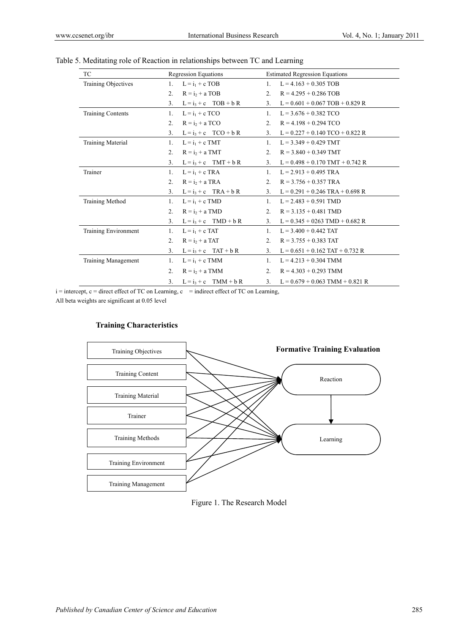| <b>TC</b>              | <b>Regression Equations</b>              | <b>Estimated Regression Equations</b>     |
|------------------------|------------------------------------------|-------------------------------------------|
| Training Objectives    | $L = i_1 + c$ TOB<br>1.                  | $L = 4.163 + 0.305$ TOB<br>1.             |
|                        | 2 <sub>1</sub><br>$R = i2 + a TOB$       | 2 <sup>1</sup><br>$R = 4.295 + 0.286$ TOB |
|                        | $L = i_3 + c$ TOB + b R<br>3.            | $L = 0.601 + 0.067$ TOB + 0.829 R<br>3.   |
| Training Contents      | $L = i_1 + c$ TCO<br>1.                  | $L = 3.676 + 0.382$ TCO<br>1.             |
|                        | $R = i_2 + a TCO$<br>2 <sup>1</sup>      | 2 <sup>1</sup><br>$R = 4.198 + 0.294$ TCO |
|                        | $L = i3 + c$ TCO + b R<br>3 <sub>1</sub> | $L = 0.227 + 0.140$ TCO + 0.822 R<br>3.   |
| Training Material      | $L = i_1 + c TMT$<br>1.                  | $L = 3.349 + 0.429$ TMT<br>1.             |
|                        | $\mathfrak{D}$<br>$R = i_2 + a TMT$      | 2.<br>$R = 3.840 + 0.349$ TMT             |
|                        | $L = i3 + c$ TMT + b R<br>3.             | $L = 0.498 + 0.170$ TMT + 0.742 R<br>3.   |
| Trainer                | $L = i_1 + c$ TRA<br>1.                  | $L = 2.913 + 0.495$ TRA<br>1.             |
|                        | $\mathfrak{D}$<br>$R = i2 + a TRA$       | 2.<br>$R = 3.756 + 0.357$ TRA             |
|                        | $L = i_3 + c$ TRA + b R<br>3.            | $L = 0.291 + 0.246$ TRA + 0.698 R<br>3.   |
| <b>Training Method</b> | $L = i_1 + c$ TMD<br>1.                  | $L = 2.483 + 0.591$ TMD<br>1.             |
|                        | 2 <sup>1</sup><br>$R = i2 + a TMD$       | 2.<br>$R = 3.135 + 0.481$ TMD             |
|                        | $L = i_3 + c$ TMD + b R<br>3.            | $L = 0.345 + 0263$ TMD + 0.682 R<br>3.    |
| Training Environment   | 1.<br>$L = i_1 + c$ TAT                  | $L = 3.400 + 0.442$ TAT<br>1.             |
|                        | $R = i_2 + a TAT$<br>2 <sup>1</sup>      | 2 <sup>1</sup><br>$R = 3.755 + 0.383$ TAT |
|                        | $L = i_3 + c$ TAT + b R<br>3.            | $L = 0.651 + 0.162$ TAT + 0.732 R<br>3.   |
| Training Management    | $L = i_1 + c$ TMM<br>1.                  | $L = 4.213 + 0.304$ TMM<br>1.             |
|                        | 2 <sup>1</sup><br>$R = i_2 + a TMM$      | $R = 4.303 + 0.293$ TMM<br>2 <sup>1</sup> |
|                        | $L = i_3 + c$ TMM + b R<br>3.            | $L = 0.679 + 0.063$ TMM + 0.821 R<br>3.   |

# Table 5. Meditating role of Reaction in relationships between TC and Learning

 $i =$  intercept,  $c =$  direct effect of TC on Learning,  $c =$  indirect effect of TC on Learning,

All beta weights are significant at 0.05 level

#### **Training Characteristics**



Figure 1. The Research Model